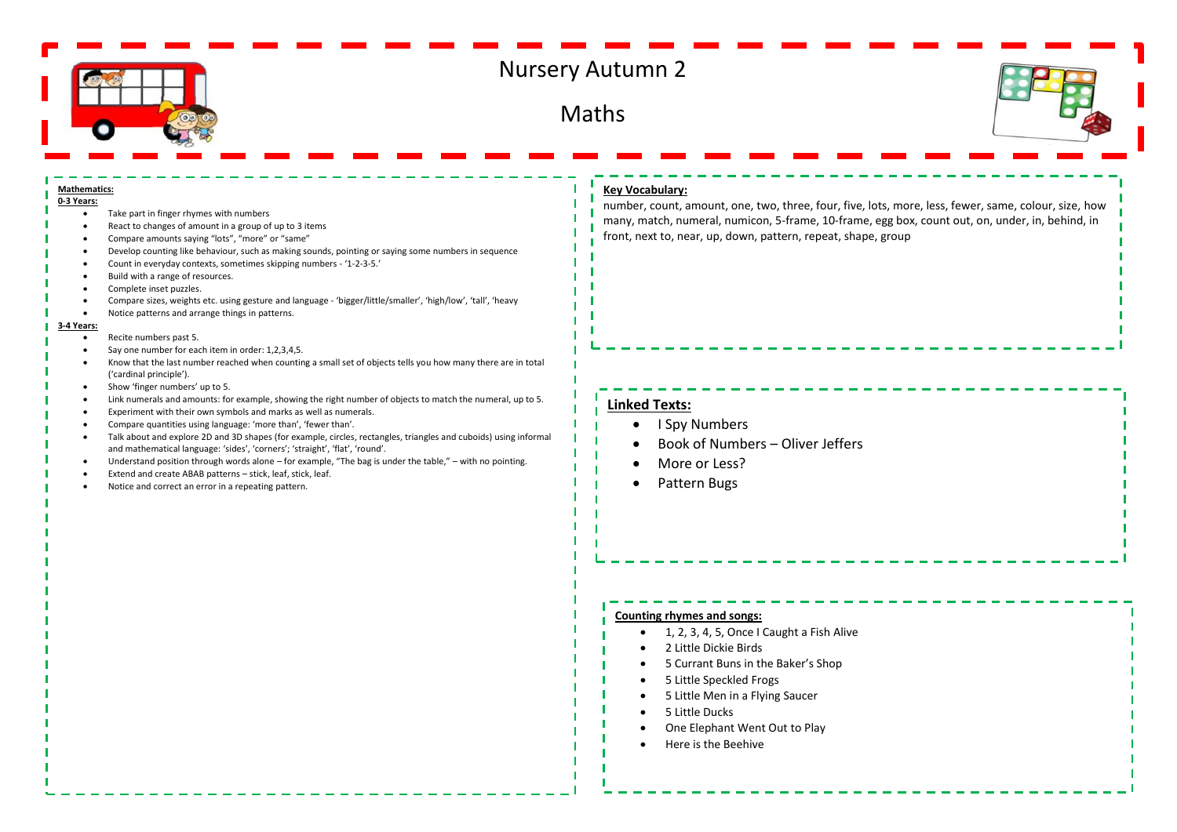

# Nursery Autumn 2

Maths



#### **Mathematics: 0-3 Years:**

- Take part in finger rhymes with numbers
- React to changes of amount in a group of up to 3 items
- Compare amounts saying "lots", "more" or "same"
- Develop counting like behaviour, such as making sounds, pointing or saying some numbers in sequence
- Count in everyday contexts, sometimes skipping numbers '1-2-3-5.'
- Build with a range of resources.
- Complete inset puzzles.
- Compare sizes, weights etc. using gesture and language 'bigger/little/smaller', 'high/low', 'tall', 'heavy
- Notice patterns and arrange things in patterns.

#### **3-4 Years:**

- Recite numbers past 5.
- Say one number for each item in order: 1,2,3,4,5.
- Know that the last number reached when counting a small set of objects tells you how many there are in total ('cardinal principle').
- Show 'finger numbers' up to 5.
- Link numerals and amounts: for example, showing the right number of objects to match the numeral, up to 5.
- Experiment with their own symbols and marks as well as numerals.
- Compare quantities using language: 'more than', 'fewer than'.
- Talk about and explore 2D and 3D shapes (for example, circles, rectangles, triangles and cuboids) using informal and mathematical language: 'sides', 'corners'; 'straight', 'flat', 'round'.
- Understand position through words alone for example, "The bag is under the table," with no pointing.
- Extend and create ABAB patterns stick, leaf, stick, leaf.
- Notice and correct an error in a repeating pattern.

## **Key Vocabulary:**

number, count, amount, one, two, three, four, five, lots, more, less, fewer, same, colour, size, how many, match, numeral, numicon, 5-frame, 10-frame, egg box, count out, on, under, in, behind, in front, next to, near, up, down, pattern, repeat, shape, group

## **Linked Texts:**

- I Spy Numbers
- Book of Numbers Oliver Jeffers
- More or Less?
- Pattern Bugs

### **Counting rhymes and songs:**

- 1, 2, 3, 4, 5, Once I Caught a Fish Alive
- 2 Little Dickie Birds
- 5 Currant Buns in the Baker's Shop
- 5 Little Speckled Frogs
- 5 Little Men in a Flying Saucer
- 5 Little Ducks
- One Elephant Went Out to Play
- Here is the Beehive